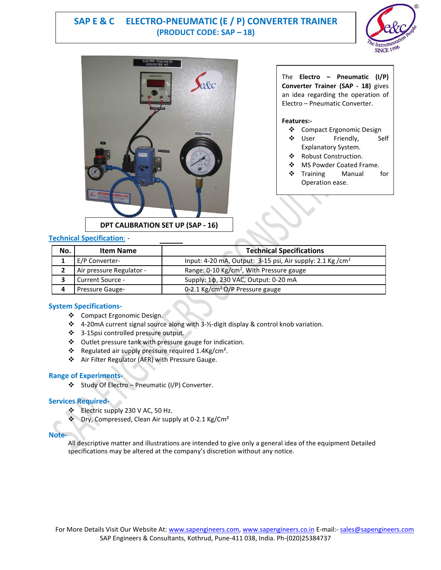# **SAP E & C ELECTRO-PNEUMATIC (E / P) CONVERTER TRAINER (PRODUCT CODE: SAP – 18)**





## **Technical Specification**: -

# The **Electro – Pneumatic (I/P) Converter Trainer (SAP - 18)** gives an idea regarding the operation of Electro – Pneumatic Converter.

#### **Features:-**

- Compact Ergonomic Design
- ❖ User Friendly, Self Explanatory System.
- ❖ Robust Construction.
- ❖ MS Powder Coated Frame.
- ❖ Training Manual for Operation ease.

| No. | <b>Item Name</b>         | <b>Technical Specifications</b>                                        |
|-----|--------------------------|------------------------------------------------------------------------|
|     | E/P Converter-           | Input: 4-20 mA, Output: 3-15 psi, Air supply: 2.1 Kg / cm <sup>2</sup> |
|     | Air pressure Regulator - | Range: 0-10 Kg/cm <sup>2</sup> , With Pressure gauge                   |
|     | Current Source -         | Supply: 1φ, 230 VAC, Output: 0-20 mA                                   |
|     | <b>Pressure Gauge-</b>   | 0-2.1 Kg/cm <sup>2</sup> O/P Pressure gauge                            |

### **System Specifications-**

- ❖ Compact Ergonomic Design.
- 4-20mA current signal source along with 3-½-digit display & control knob variation.
- 3-15psi controlled pressure output.
- Outlet pressure tank with pressure gauge for indication.
- $\cdot \cdot$  Regulated air supply pressure required 1.4Kg/cm<sup>2</sup>.
- Air Filter Regulator (AFR) with Pressure Gauge.

## **Range of Experiments-**

Study Of Electro – Pneumatic (I/P) Converter.

#### **Services Required-**

- ❖ Electric supply 230 V AC, 50 Hz.
- $\cdot \cdot$  Dry, Compressed, Clean Air supply at 0-2.1 Kg/Cm<sup>2</sup>

#### **Note-**

All descriptive matter and illustrations are intended to give only a general idea of the equipment Detailed specifications may be altered at the company's discretion without any notice.